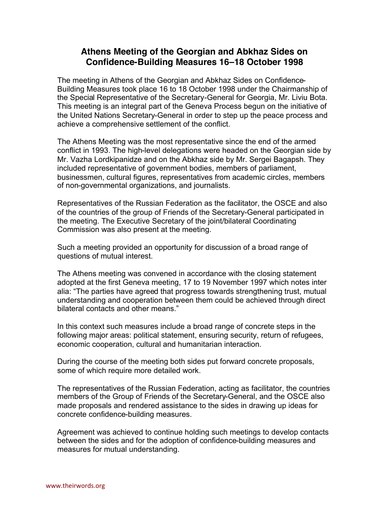## **Athens Meeting of the Georgian and Abkhaz Sides on Confidence-Building Measures 16–18 October 1998**

The meeting in Athens of the Georgian and Abkhaz Sides on Confidence-Building Measures took place 16 to 18 October 1998 under the Chairmanship of the Special Representative of the Secretary-General for Georgia, Mr. Liviu Bota. This meeting is an integral part of the Geneva Process begun on the initiative of the United Nations Secretary-General in order to step up the peace process and achieve a comprehensive settlement of the conflict.

The Athens Meeting was the most representative since the end of the armed conflict in 1993. The high-level delegations were headed on the Georgian side by Mr. Vazha Lordkipanidze and on the Abkhaz side by Mr. Sergei Bagapsh. They included representative of government bodies, members of parliament, businessmen, cultural figures, representatives from academic circles, members of non-governmental organizations, and journalists.

Representatives of the Russian Federation as the facilitator, the OSCE and also of the countries of the group of Friends of the Secretary-General participated in the meeting. The Executive Secretary of the joint/bilateral Coordinating Commission was also present at the meeting.

Such a meeting provided an opportunity for discussion of a broad range of questions of mutual interest.

The Athens meeting was convened in accordance with the closing statement adopted at the first Geneva meeting, 17 to 19 November 1997 which notes inter alia: "The parties have agreed that progress towards strengthening trust, mutual understanding and cooperation between them could be achieved through direct bilateral contacts and other means."

In this context such measures include a broad range of concrete steps in the following major areas: political statement, ensuring security, return of refugees, economic cooperation, cultural and humanitarian interaction.

During the course of the meeting both sides put forward concrete proposals, some of which require more detailed work.

The representatives of the Russian Federation, acting as facilitator, the countries members of the Group of Friends of the Secretary-General, and the OSCE also made proposals and rendered assistance to the sides in drawing up ideas for concrete confidence-building measures.

Agreement was achieved to continue holding such meetings to develop contacts between the sides and for the adoption of confidence-building measures and measures for mutual understanding.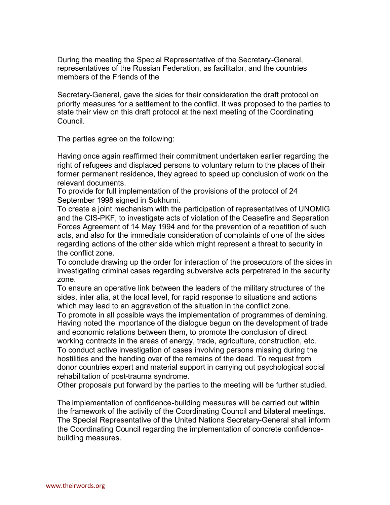During the meeting the Special Representative of the Secretary-General, representatives of the Russian Federation, as facilitator, and the countries members of the Friends of the

Secretary-General, gave the sides for their consideration the draft protocol on priority measures for a settlement to the conflict. It was proposed to the parties to state their view on this draft protocol at the next meeting of the Coordinating Council.

The parties agree on the following:

Having once again reaffirmed their commitment undertaken earlier regarding the right of refugees and displaced persons to voluntary return to the places of their former permanent residence, they agreed to speed up conclusion of work on the relevant documents.

To provide for full implementation of the provisions of the protocol of 24 September 1998 signed in Sukhumi.

To create a joint mechanism with the participation of representatives of UNOMIG and the CIS-PKF, to investigate acts of violation of the Ceasefire and Separation Forces Agreement of 14 May 1994 and for the prevention of a repetition of such acts, and also for the immediate consideration of complaints of one of the sides regarding actions of the other side which might represent a threat to security in the conflict zone.

To conclude drawing up the order for interaction of the prosecutors of the sides in investigating criminal cases regarding subversive acts perpetrated in the security zone.

To ensure an operative link between the leaders of the military structures of the sides, inter alia, at the local level, for rapid response to situations and actions which may lead to an aggravation of the situation in the conflict zone.

To promote in all possible ways the implementation of programmes of demining. Having noted the importance of the dialogue begun on the development of trade and economic relations between them, to promote the conclusion of direct working contracts in the areas of energy, trade, agriculture, construction, etc. To conduct active investigation of cases involving persons missing during the hostilities and the handing over of the remains of the dead. To request from donor countries expert and material support in carrying out psychological social rehabilitation of post-trauma syndrome.

Other proposals put forward by the parties to the meeting will be further studied.

The implementation of confidence-building measures will be carried out within the framework of the activity of the Coordinating Council and bilateral meetings. The Special Representative of the United Nations Secretary-General shall inform the Coordinating Council regarding the implementation of concrete confidencebuilding measures.